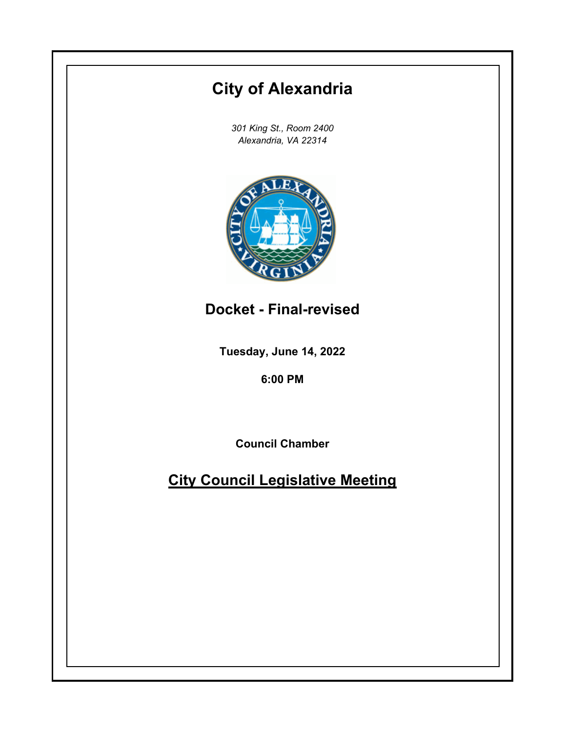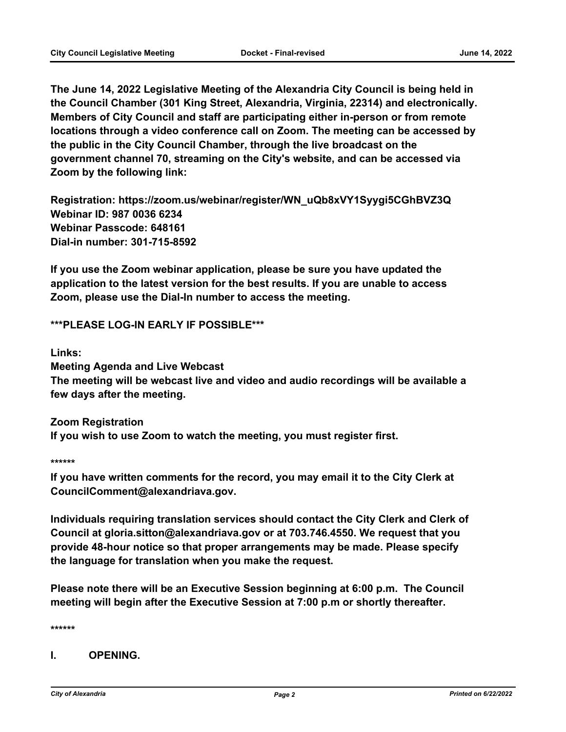**The June 14, 2022 Legislative Meeting of the Alexandria City Council is being held in the Council Chamber (301 King Street, Alexandria, Virginia, 22314) and electronically. Members of City Council and staff are participating either in-person or from remote locations through a video conference call on Zoom. The meeting can be accessed by the public in the City Council Chamber, through the live broadcast on the government channel 70, streaming on the City's website, and can be accessed via Zoom by the following link:**

**Registration: https://zoom.us/webinar/register/WN\_uQb8xVY1Syygi5CGhBVZ3Q Webinar ID: 987 0036 6234 Webinar Passcode: 648161 Dial-in number: 301-715-8592**

**If you use the Zoom webinar application, please be sure you have updated the application to the latest version for the best results. If you are unable to access Zoom, please use the Dial-In number to access the meeting.**

**\*\*\*PLEASE LOG-IN EARLY IF POSSIBLE\*\*\***

**Links:**

**Meeting Agenda and Live Webcast**

**The meeting will be webcast live and video and audio recordings will be available a few days after the meeting.**

**Zoom Registration If you wish to use Zoom to watch the meeting, you must register first.**

**\*\*\*\*\*\***

**If you have written comments for the record, you may email it to the City Clerk at CouncilComment@alexandriava.gov.**

**Individuals requiring translation services should contact the City Clerk and Clerk of Council at gloria.sitton@alexandriava.gov or at 703.746.4550. We request that you provide 48-hour notice so that proper arrangements may be made. Please specify the language for translation when you make the request.**

**Please note there will be an Executive Session beginning at 6:00 p.m. The Council meeting will begin after the Executive Session at 7:00 p.m or shortly thereafter.**

**\*\*\*\*\*\***

**I. OPENING.**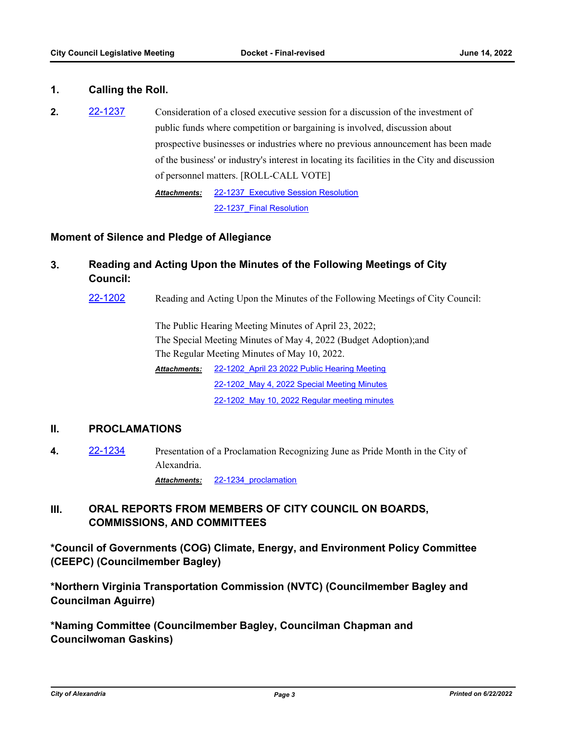## **1. Calling the Roll.**

**2.** [22-1237](http://alexandria.legistar.com/gateway.aspx?m=l&id=/matter.aspx?key=14835) Consideration of a closed executive session for a discussion of the investment of public funds where competition or bargaining is involved, discussion about prospective businesses or industries where no previous announcement has been made of the business' or industry's interest in locating its facilities in the City and discussion of personnel matters. [ROLL-CALL VOTE] [22-1237\\_Executive Session Resolution](http://alexandria.legistar.com/gateway.aspx?M=F&ID=909968ea-3aae-4af9-91f5-3467d010d980.doc) 22-1237 Final Resolution *Attachments:*

**Moment of Silence and Pledge of Allegiance**

- **3. Reading and Acting Upon the Minutes of the Following Meetings of City Council:**
	- [22-1202](http://alexandria.legistar.com/gateway.aspx?m=l&id=/matter.aspx?key=14800) Reading and Acting Upon the Minutes of the Following Meetings of City Council:

The Public Hearing Meeting Minutes of April 23, 2022; The Special Meeting Minutes of May 4, 2022 (Budget Adoption);and The Regular Meeting Minutes of May 10, 2022.

[22-1202\\_April 23 2022 Public Hearing Meeting](http://alexandria.legistar.com/gateway.aspx?M=F&ID=2d67e94d-ef3a-43bb-b393-0a9c80e7b927.rtf) 22-1202 May 4, 2022 Special Meeting Minutes 22-1202 May 10, 2022 Regular meeting minutes *Attachments:*

#### **II. PROCLAMATIONS**

**4.** [22-1234](http://alexandria.legistar.com/gateway.aspx?m=l&id=/matter.aspx?key=14832) Presentation of a Proclamation Recognizing June as Pride Month in the City of Alexandria.

*Attachments:* [22-1234\\_proclamation](http://alexandria.legistar.com/gateway.aspx?M=F&ID=3a7d88cb-d592-4571-9431-05f903c098c2.docx)

# **III. ORAL REPORTS FROM MEMBERS OF CITY COUNCIL ON BOARDS, COMMISSIONS, AND COMMITTEES**

**\*Council of Governments (COG) Climate, Energy, and Environment Policy Committee (CEEPC) (Councilmember Bagley)**

**\*Northern Virginia Transportation Commission (NVTC) (Councilmember Bagley and Councilman Aguirre)**

**\*Naming Committee (Councilmember Bagley, Councilman Chapman and Councilwoman Gaskins)**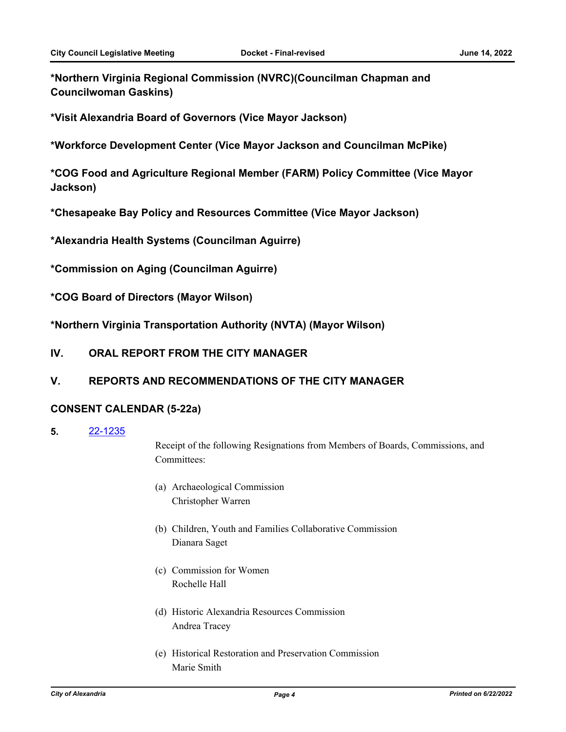**\*Northern Virginia Regional Commission (NVRC)(Councilman Chapman and Councilwoman Gaskins)**

**\*Visit Alexandria Board of Governors (Vice Mayor Jackson)**

**\*Workforce Development Center (Vice Mayor Jackson and Councilman McPike)**

**\*COG Food and Agriculture Regional Member (FARM) Policy Committee (Vice Mayor Jackson)**

**\*Chesapeake Bay Policy and Resources Committee (Vice Mayor Jackson)**

**\*Alexandria Health Systems (Councilman Aguirre)**

**\*Commission on Aging (Councilman Aguirre)**

**\*COG Board of Directors (Mayor Wilson)**

**\*Northern Virginia Transportation Authority (NVTA) (Mayor Wilson)**

**IV. ORAL REPORT FROM THE CITY MANAGER**

## **V. REPORTS AND RECOMMENDATIONS OF THE CITY MANAGER**

#### **CONSENT CALENDAR (5-22a)**

**5.** [22-1235](http://alexandria.legistar.com/gateway.aspx?m=l&id=/matter.aspx?key=14833)

Receipt of the following Resignations from Members of Boards, Commissions, and Committees:

- (a) Archaeological Commission Christopher Warren
- (b) Children, Youth and Families Collaborative Commission Dianara Saget
- (c) Commission for Women Rochelle Hall
- (d) Historic Alexandria Resources Commission Andrea Tracey
- (e) Historical Restoration and Preservation Commission Marie Smith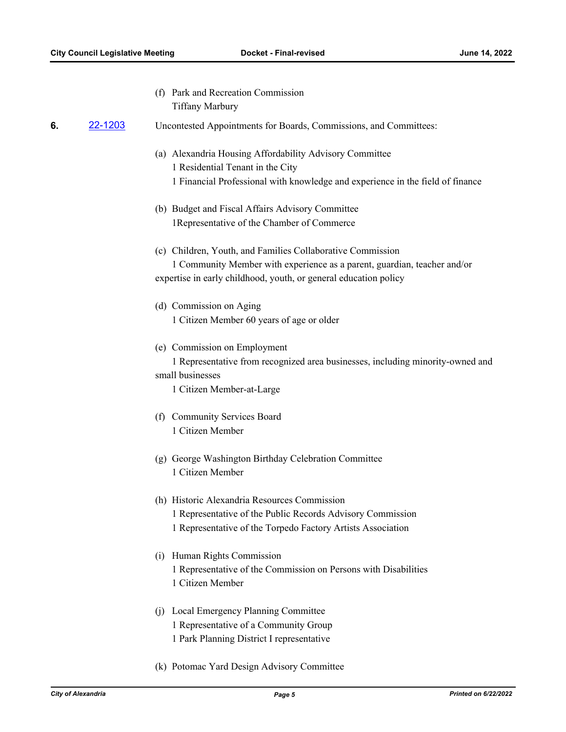(f) Park and Recreation Commission Tiffany Marbury

#### **6.** [22-1203](http://alexandria.legistar.com/gateway.aspx?m=l&id=/matter.aspx?key=14801) Uncontested Appointments for Boards, Commissions, and Committees:

- (a) Alexandria Housing Affordability Advisory Committee 1 Residential Tenant in the City 1 Financial Professional with knowledge and experience in the field of finance
- (b) Budget and Fiscal Affairs Advisory Committee 1Representative of the Chamber of Commerce
- (c) Children, Youth, and Families Collaborative Commission 1 Community Member with experience as a parent, guardian, teacher and/or expertise in early childhood, youth, or general education policy
- (d) Commission on Aging 1 Citizen Member 60 years of age or older
- (e) Commission on Employment

1 Representative from recognized area businesses, including minority-owned and small businesses

1 Citizen Member-at-Large

- (f) Community Services Board 1 Citizen Member
- (g) George Washington Birthday Celebration Committee 1 Citizen Member
- (h) Historic Alexandria Resources Commission 1 Representative of the Public Records Advisory Commission 1 Representative of the Torpedo Factory Artists Association
- (i) Human Rights Commission 1 Representative of the Commission on Persons with Disabilities 1 Citizen Member
- (j) Local Emergency Planning Committee 1 Representative of a Community Group 1 Park Planning District I representative
- (k) Potomac Yard Design Advisory Committee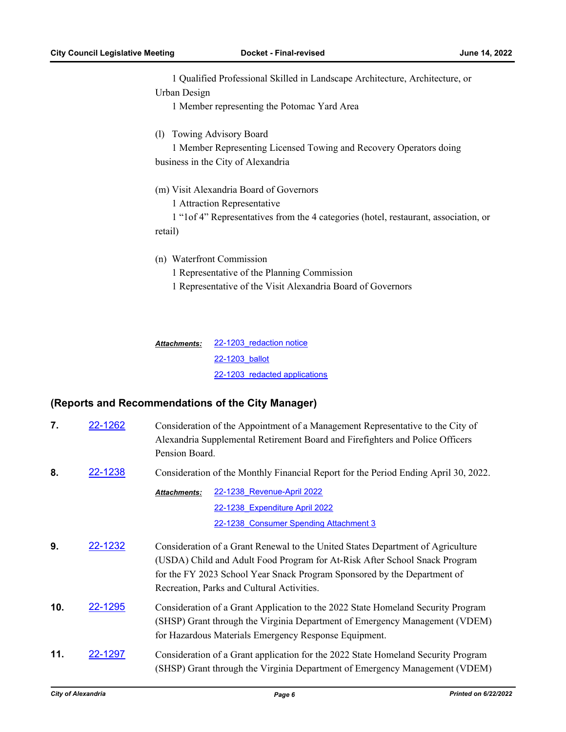1 Qualified Professional Skilled in Landscape Architecture, Architecture, or Urban Design

1 Member representing the Potomac Yard Area

(l) Towing Advisory Board

1 Member Representing Licensed Towing and Recovery Operators doing business in the City of Alexandria

(m) Visit Alexandria Board of Governors

1 Attraction Representative

1 "1of 4" Representatives from the 4 categories (hotel, restaurant, association, or retail)

(n) Waterfront Commission

1 Representative of the Planning Commission

1 Representative of the Visit Alexandria Board of Governors

22-1203 redaction notice [22-1203\\_ballot](http://alexandria.legistar.com/gateway.aspx?M=F&ID=a1fdae8e-b987-48d2-b965-8817bcec99eb.docx) [22-1203\\_redacted applications](http://alexandria.legistar.com/gateway.aspx?M=F&ID=06a63a0f-9002-4666-9d84-31f9642126a0.pdf) *Attachments:*

## **(Reports and Recommendations of the City Manager)**

| 7.  | 22-1262 | Consideration of the Appointment of a Management Representative to the City of<br>Alexandria Supplemental Retirement Board and Firefighters and Police Officers<br>Pension Board.                                                                                                       |  |  |
|-----|---------|-----------------------------------------------------------------------------------------------------------------------------------------------------------------------------------------------------------------------------------------------------------------------------------------|--|--|
| 8.  | 22-1238 | Consideration of the Monthly Financial Report for the Period Ending April 30, 2022.                                                                                                                                                                                                     |  |  |
|     |         | 22-1238 Revenue-April 2022<br>Attachments:                                                                                                                                                                                                                                              |  |  |
|     |         | 22-1238 Expenditure April 2022                                                                                                                                                                                                                                                          |  |  |
|     |         | 22-1238 Consumer Spending Attachment 3                                                                                                                                                                                                                                                  |  |  |
| 9.  | 22-1232 | Consideration of a Grant Renewal to the United States Department of Agriculture<br>(USDA) Child and Adult Food Program for At-Risk After School Snack Program<br>for the FY 2023 School Year Snack Program Sponsored by the Department of<br>Recreation, Parks and Cultural Activities. |  |  |
| 10. | 22-1295 | Consideration of a Grant Application to the 2022 State Homeland Security Program<br>(SHSP) Grant through the Virginia Department of Emergency Management (VDEM)<br>for Hazardous Materials Emergency Response Equipment.                                                                |  |  |
| 11. | 22-1297 | Consideration of a Grant application for the 2022 State Homeland Security Program<br>(SHSP) Grant through the Virginia Department of Emergency Management (VDEM)                                                                                                                        |  |  |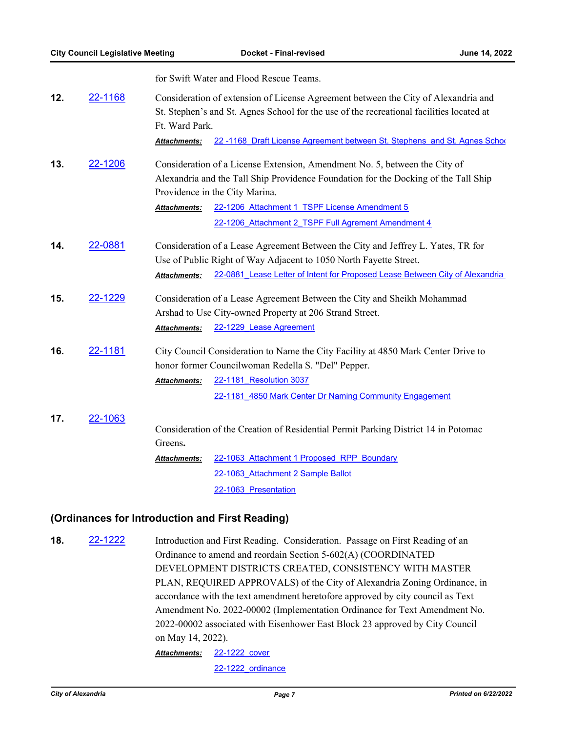|     |         | for Swift Water and Flood Rescue Teams.                                                                                                                                                          |  |  |
|-----|---------|--------------------------------------------------------------------------------------------------------------------------------------------------------------------------------------------------|--|--|
| 12. | 22-1168 | Consideration of extension of License Agreement between the City of Alexandria and<br>St. Stephen's and St. Agnes School for the use of the recreational facilities located at<br>Ft. Ward Park. |  |  |
|     |         | 22-1168 Draft License Agreement between St. Stephens and St. Agnes School<br><b>Attachments:</b>                                                                                                 |  |  |
| 13. | 22-1206 | Consideration of a License Extension, Amendment No. 5, between the City of                                                                                                                       |  |  |
|     |         | Alexandria and the Tall Ship Providence Foundation for the Docking of the Tall Ship                                                                                                              |  |  |
|     |         | Providence in the City Marina.                                                                                                                                                                   |  |  |
|     |         | 22-1206 Attachment 1 TSPF License Amendment 5<br><b>Attachments:</b>                                                                                                                             |  |  |
|     |         | 22-1206 Attachment 2 TSPF Full Agrement Amendment 4                                                                                                                                              |  |  |
| 14. | 22-0881 | Consideration of a Lease Agreement Between the City and Jeffrey L. Yates, TR for                                                                                                                 |  |  |
|     |         | Use of Public Right of Way Adjacent to 1050 North Fayette Street.                                                                                                                                |  |  |
|     |         | 22-0881 Lease Letter of Intent for Proposed Lease Between City of Alexandria<br><b>Attachments:</b>                                                                                              |  |  |
| 15. | 22-1229 | Consideration of a Lease Agreement Between the City and Sheikh Mohammad                                                                                                                          |  |  |
|     |         | Arshad to Use City-owned Property at 206 Strand Street.                                                                                                                                          |  |  |
|     |         | 22-1229 Lease Agreement<br><b>Attachments:</b>                                                                                                                                                   |  |  |
| 16. | 22-1181 | City Council Consideration to Name the City Facility at 4850 Mark Center Drive to                                                                                                                |  |  |
|     |         | honor former Councilwoman Redella S. "Del" Pepper.                                                                                                                                               |  |  |
|     |         | 22-1181 Resolution 3037<br><b>Attachments:</b>                                                                                                                                                   |  |  |
|     |         | 22-1181 4850 Mark Center Dr Naming Community Engagement                                                                                                                                          |  |  |
| 17. | 22-1063 |                                                                                                                                                                                                  |  |  |
|     |         | Consideration of the Creation of Residential Permit Parking District 14 in Potomac                                                                                                               |  |  |
|     |         | Greens.                                                                                                                                                                                          |  |  |
|     |         | 22-1063 Attachment 1 Proposed RPP Boundary<br><b>Attachments:</b>                                                                                                                                |  |  |
|     |         | 22-1063 Attachment 2 Sample Ballot                                                                                                                                                               |  |  |

22-1063 Presentation

## **(Ordinances for Introduction and First Reading)**

**18.** [22-1222](http://alexandria.legistar.com/gateway.aspx?m=l&id=/matter.aspx?key=14820) Introduction and First Reading. Consideration. Passage on First Reading of an Ordinance to amend and reordain Section 5-602(A) (COORDINATED DEVELOPMENT DISTRICTS CREATED, CONSISTENCY WITH MASTER PLAN, REQUIRED APPROVALS) of the City of Alexandria Zoning Ordinance, in accordance with the text amendment heretofore approved by city council as Text Amendment No. 2022-00002 (Implementation Ordinance for Text Amendment No. 2022-00002 associated with Eisenhower East Block 23 approved by City Council on May 14, 2022). [22-1222\\_cover](http://alexandria.legistar.com/gateway.aspx?M=F&ID=3b33a449-07cd-4e1a-a281-709fdedf6571.doc) *Attachments:*

[22-1222\\_ordinance](http://alexandria.legistar.com/gateway.aspx?M=F&ID=4e751338-d48a-444f-81fb-e60d64206728.doc)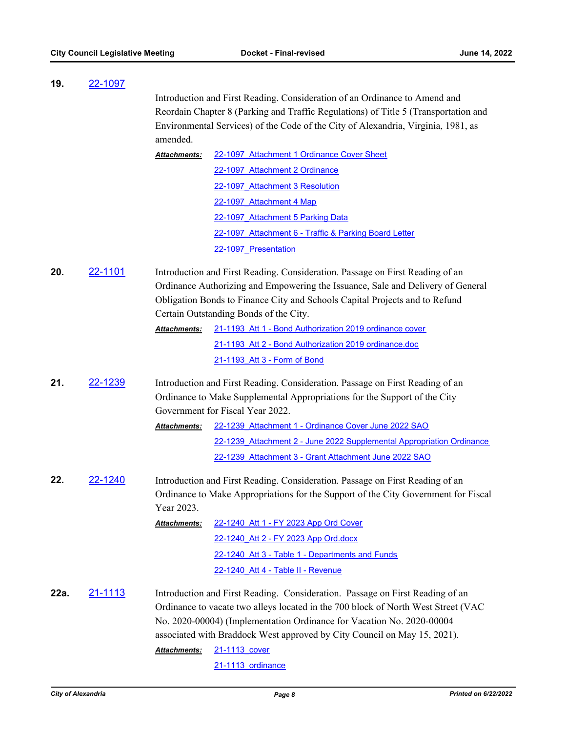| 19.  | 22-1097        |                                                                                                                                                                                                                                                 |                                                                                                                                                            |  |
|------|----------------|-------------------------------------------------------------------------------------------------------------------------------------------------------------------------------------------------------------------------------------------------|------------------------------------------------------------------------------------------------------------------------------------------------------------|--|
|      |                |                                                                                                                                                                                                                                                 | Introduction and First Reading. Consideration of an Ordinance to Amend and                                                                                 |  |
|      |                |                                                                                                                                                                                                                                                 | Reordain Chapter 8 (Parking and Traffic Regulations) of Title 5 (Transportation and                                                                        |  |
|      |                |                                                                                                                                                                                                                                                 | Environmental Services) of the Code of the City of Alexandria, Virginia, 1981, as                                                                          |  |
|      |                | amended.                                                                                                                                                                                                                                        |                                                                                                                                                            |  |
|      |                | <b>Attachments:</b>                                                                                                                                                                                                                             | 22-1097 Attachment 1 Ordinance Cover Sheet                                                                                                                 |  |
|      |                |                                                                                                                                                                                                                                                 | 22-1097 Attachment 2 Ordinance                                                                                                                             |  |
|      |                |                                                                                                                                                                                                                                                 | 22-1097 Attachment 3 Resolution                                                                                                                            |  |
|      |                |                                                                                                                                                                                                                                                 | 22-1097 Attachment 4 Map                                                                                                                                   |  |
|      |                |                                                                                                                                                                                                                                                 | 22-1097 Attachment 5 Parking Data                                                                                                                          |  |
|      |                |                                                                                                                                                                                                                                                 | 22-1097 Attachment 6 - Traffic & Parking Board Letter                                                                                                      |  |
|      |                |                                                                                                                                                                                                                                                 | 22-1097 Presentation                                                                                                                                       |  |
| 20.  | <u>22-1101</u> | Introduction and First Reading. Consideration. Passage on First Reading of an<br>Ordinance Authorizing and Empowering the Issuance, Sale and Delivery of General<br>Obligation Bonds to Finance City and Schools Capital Projects and to Refund |                                                                                                                                                            |  |
|      |                |                                                                                                                                                                                                                                                 | Certain Outstanding Bonds of the City.                                                                                                                     |  |
|      |                | Attachments:                                                                                                                                                                                                                                    | 21-1193 Att 1 - Bond Authorization 2019 ordinance cover                                                                                                    |  |
|      |                |                                                                                                                                                                                                                                                 | 21-1193 Att 2 - Bond Authorization 2019 ordinance.doc                                                                                                      |  |
|      |                |                                                                                                                                                                                                                                                 | 21-1193 Att 3 - Form of Bond                                                                                                                               |  |
| 21.  | <u>22-1239</u> | Introduction and First Reading. Consideration. Passage on First Reading of an<br>Ordinance to Make Supplemental Appropriations for the Support of the City<br>Government for Fiscal Year 2022.                                                  |                                                                                                                                                            |  |
|      |                | Attachments:                                                                                                                                                                                                                                    | 22-1239 Attachment 1 - Ordinance Cover June 2022 SAO                                                                                                       |  |
|      |                |                                                                                                                                                                                                                                                 | 22-1239 Attachment 2 - June 2022 Supplemental Appropriation Ordinance                                                                                      |  |
|      |                |                                                                                                                                                                                                                                                 | 22-1239 Attachment 3 - Grant Attachment June 2022 SAO                                                                                                      |  |
| 22.  | 22-1240        | Introduction and First Reading. Consideration. Passage on First Reading of an<br>Ordinance to Make Appropriations for the Support of the City Government for Fiscal<br>Year 2023.                                                               |                                                                                                                                                            |  |
|      |                | Attachments:                                                                                                                                                                                                                                    | 22-1240 Att 1 - FY 2023 App Ord Cover                                                                                                                      |  |
|      |                |                                                                                                                                                                                                                                                 | 22-1240 Att 2 - FY 2023 App Ord.docx                                                                                                                       |  |
|      |                |                                                                                                                                                                                                                                                 | 22-1240 Att 3 - Table 1 - Departments and Funds                                                                                                            |  |
|      |                |                                                                                                                                                                                                                                                 | 22-1240 Att 4 - Table II - Revenue                                                                                                                         |  |
| 22a. | 21-1113        |                                                                                                                                                                                                                                                 | Introduction and First Reading. Consideration. Passage on First Reading of an                                                                              |  |
|      |                |                                                                                                                                                                                                                                                 | Ordinance to vacate two alleys located in the 700 block of North West Street (VAC<br>No. 2020-00004) (Implementation Ordinance for Vacation No. 2020-00004 |  |
|      |                |                                                                                                                                                                                                                                                 | associated with Braddock West approved by City Council on May 15, 2021).                                                                                   |  |
|      |                |                                                                                                                                                                                                                                                 |                                                                                                                                                            |  |
|      |                |                                                                                                                                                                                                                                                 |                                                                                                                                                            |  |
|      |                | Attachments:                                                                                                                                                                                                                                    | 21-1113 cover<br>21-1113 ordinance                                                                                                                         |  |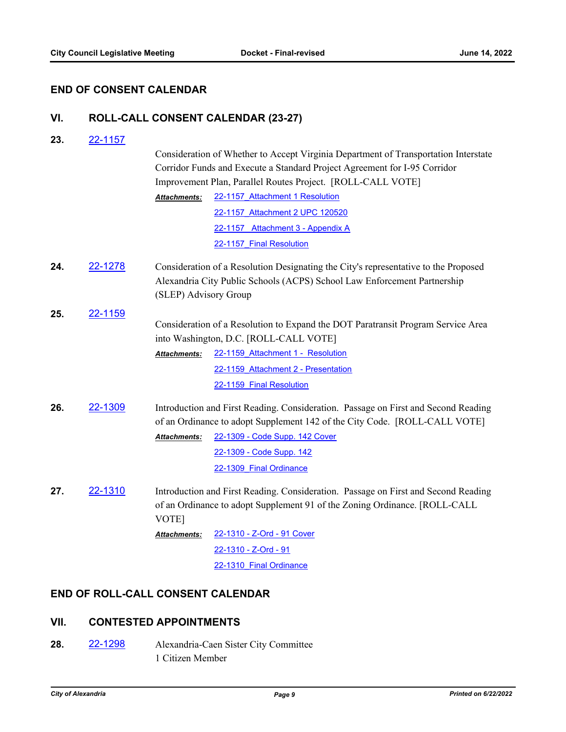## **END OF CONSENT CALENDAR**

# **VI. ROLL-CALL CONSENT CALENDAR (23-27)**

**23.** [22-1157](http://alexandria.legistar.com/gateway.aspx?m=l&id=/matter.aspx?key=14755)

|     |         |                                                                                                                                                                           | Consideration of Whether to Accept Virginia Department of Transportation Interstate                                                                             |  |
|-----|---------|---------------------------------------------------------------------------------------------------------------------------------------------------------------------------|-----------------------------------------------------------------------------------------------------------------------------------------------------------------|--|
|     |         | Corridor Funds and Execute a Standard Project Agreement for I-95 Corridor<br>Improvement Plan, Parallel Routes Project. [ROLL-CALL VOTE]                                  |                                                                                                                                                                 |  |
|     |         |                                                                                                                                                                           |                                                                                                                                                                 |  |
|     |         | Attachments:                                                                                                                                                              | 22-1157 Attachment 1 Resolution                                                                                                                                 |  |
|     |         |                                                                                                                                                                           | 22-1157 Attachment 2 UPC 120520                                                                                                                                 |  |
|     |         |                                                                                                                                                                           | 22-1157 Attachment 3 - Appendix A                                                                                                                               |  |
|     |         |                                                                                                                                                                           | 22-1157 Final Resolution                                                                                                                                        |  |
| 24. | 22-1278 | (SLEP) Advisory Group                                                                                                                                                     | Consideration of a Resolution Designating the City's representative to the Proposed<br>Alexandria City Public Schools (ACPS) School Law Enforcement Partnership |  |
| 25. | 22-1159 |                                                                                                                                                                           |                                                                                                                                                                 |  |
|     |         | Consideration of a Resolution to Expand the DOT Paratransit Program Service Area<br>into Washington, D.C. [ROLL-CALL VOTE]                                                |                                                                                                                                                                 |  |
|     |         | Attachments:                                                                                                                                                              | 22-1159 Attachment 1 - Resolution                                                                                                                               |  |
|     |         |                                                                                                                                                                           | 22-1159 Attachment 2 - Presentation                                                                                                                             |  |
|     |         |                                                                                                                                                                           | 22-1159 Final Resolution                                                                                                                                        |  |
| 26. | 22-1309 | Introduction and First Reading. Consideration. Passage on First and Second Reading<br>of an Ordinance to adopt Supplement 142 of the City Code. [ROLL-CALL VOTE]          |                                                                                                                                                                 |  |
|     |         | <b>Attachments:</b>                                                                                                                                                       | 22-1309 - Code Supp. 142 Cover                                                                                                                                  |  |
|     |         |                                                                                                                                                                           | 22-1309 - Code Supp. 142                                                                                                                                        |  |
|     |         |                                                                                                                                                                           | 22-1309 Final Ordinance                                                                                                                                         |  |
| 27. | 22-1310 | Introduction and First Reading. Consideration. Passage on First and Second Reading<br>of an Ordinance to adopt Supplement 91 of the Zoning Ordinance. [ROLL-CALL<br>VOTE] |                                                                                                                                                                 |  |
|     |         | Attachments:                                                                                                                                                              | 22-1310 - Z-Ord - 91 Cover                                                                                                                                      |  |
|     |         |                                                                                                                                                                           | 22-1310 - Z-Ord - 91                                                                                                                                            |  |
|     |         |                                                                                                                                                                           | 22-1310 Final Ordinance                                                                                                                                         |  |

## **END OF ROLL-CALL CONSENT CALENDAR**

## **VII. CONTESTED APPOINTMENTS**

**28.** [22-1298](http://alexandria.legistar.com/gateway.aspx?m=l&id=/matter.aspx?key=14896) Alexandria-Caen Sister City Committee 1 Citizen Member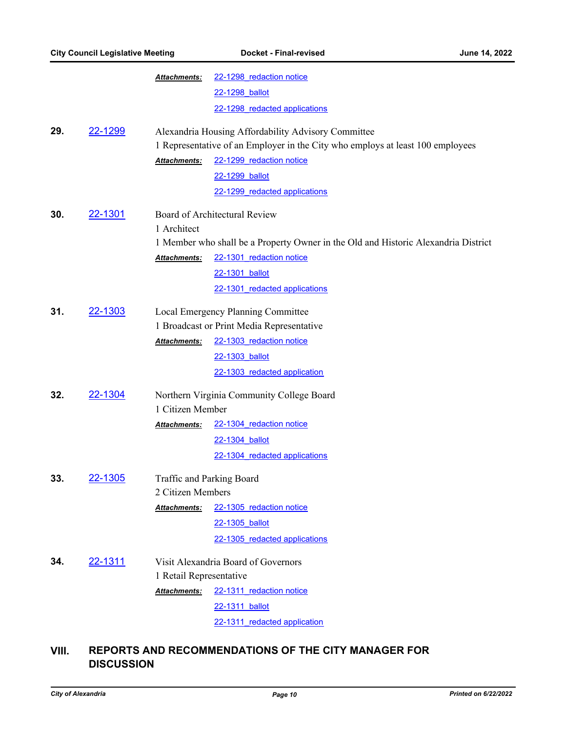|     | <b>City Council Legislative Meeting</b>  |                                           | Docket - Final-revised                                                             | June 14, 2022 |  |
|-----|------------------------------------------|-------------------------------------------|------------------------------------------------------------------------------------|---------------|--|
|     |                                          | Attachments:                              | 22-1298 redaction notice                                                           |               |  |
|     |                                          |                                           | 22-1298 ballot                                                                     |               |  |
|     |                                          |                                           | 22-1298 redacted applications                                                      |               |  |
| 29. | 22-1299                                  |                                           | Alexandria Housing Affordability Advisory Committee                                |               |  |
|     |                                          |                                           | 1 Representative of an Employer in the City who employs at least 100 employees     |               |  |
|     |                                          | Attachments:                              | 22-1299 redaction notice                                                           |               |  |
|     |                                          |                                           | 22-1299 ballot                                                                     |               |  |
|     |                                          |                                           | 22-1299 redacted applications                                                      |               |  |
| 30. | 22-1301<br>Board of Architectural Review |                                           |                                                                                    |               |  |
|     |                                          | 1 Architect                               |                                                                                    |               |  |
|     |                                          |                                           | 1 Member who shall be a Property Owner in the Old and Historic Alexandria District |               |  |
|     |                                          | Attachments:                              | 22-1301 redaction notice                                                           |               |  |
|     |                                          |                                           | 22-1301 ballot                                                                     |               |  |
|     |                                          |                                           | 22-1301 redacted applications                                                      |               |  |
| 31. | 22-1303                                  | Local Emergency Planning Committee        |                                                                                    |               |  |
|     |                                          |                                           | 1 Broadcast or Print Media Representative                                          |               |  |
|     |                                          | Attachments:                              | 22-1303 redaction notice                                                           |               |  |
|     |                                          |                                           | 22-1303 ballot                                                                     |               |  |
|     |                                          |                                           | 22-1303 redacted application                                                       |               |  |
| 32. | 22-1304                                  | Northern Virginia Community College Board |                                                                                    |               |  |
|     |                                          | 1 Citizen Member                          |                                                                                    |               |  |
|     |                                          | Attachments:                              | 22-1304 redaction notice                                                           |               |  |
|     |                                          |                                           | 22-1304 ballot                                                                     |               |  |
|     |                                          |                                           | 22-1304 redacted applications                                                      |               |  |
| 33. | 22-1305<br>Traffic and Parking Board     |                                           |                                                                                    |               |  |
|     |                                          | 2 Citizen Members                         |                                                                                    |               |  |
|     |                                          | Attachments:                              | 22-1305 redaction notice                                                           |               |  |
|     |                                          |                                           | 22-1305 ballot                                                                     |               |  |
|     |                                          |                                           | 22-1305 redacted applications                                                      |               |  |
| 34. | 22-1311                                  |                                           | Visit Alexandria Board of Governors                                                |               |  |
|     |                                          | 1 Retail Representative                   |                                                                                    |               |  |
|     |                                          | Attachments:                              | 22-1311 redaction notice                                                           |               |  |
|     |                                          |                                           | 22-1311 ballot                                                                     |               |  |
|     |                                          |                                           | 22-1311 redacted application                                                       |               |  |
|     |                                          |                                           |                                                                                    |               |  |

# **VIII. REPORTS AND RECOMMENDATIONS OF THE CITY MANAGER FOR DISCUSSION**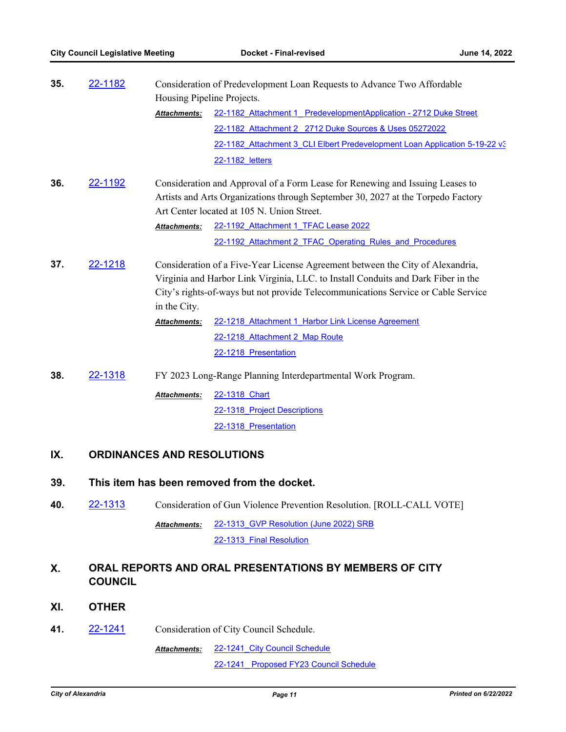| 35. | 22-1182 | Consideration of Predevelopment Loan Requests to Advance Two Affordable<br>Housing Pipeline Projects. |                                                                                   |  |
|-----|---------|-------------------------------------------------------------------------------------------------------|-----------------------------------------------------------------------------------|--|
|     |         | Attachments:                                                                                          | 22-1182 Attachment 1 PredevelopmentApplication - 2712 Duke Street                 |  |
|     |         |                                                                                                       | 22-1182 Attachment 2 2712 Duke Sources & Uses 05272022                            |  |
|     |         |                                                                                                       | 22-1182 Attachment 3 CLI Elbert Predevelopment Loan Application 5-19-22 v3        |  |
|     |         |                                                                                                       | 22-1182 letters                                                                   |  |
| 36. | 22-1192 |                                                                                                       | Consideration and Approval of a Form Lease for Renewing and Issuing Leases to     |  |
|     |         |                                                                                                       | Artists and Arts Organizations through September 30, 2027 at the Torpedo Factory  |  |
|     |         |                                                                                                       | Art Center located at 105 N. Union Street.                                        |  |
|     |         | Attachments:                                                                                          | 22-1192 Attachment 1 TFAC Lease 2022                                              |  |
|     |         |                                                                                                       | 22-1192 Attachment 2 TFAC Operating Rules and Procedures                          |  |
| 37. | 22-1218 |                                                                                                       | Consideration of a Five-Year License Agreement between the City of Alexandria,    |  |
|     |         |                                                                                                       | Virginia and Harbor Link Virginia, LLC. to Install Conduits and Dark Fiber in the |  |
|     |         |                                                                                                       | City's rights-of-ways but not provide Telecommunications Service or Cable Service |  |
|     |         | in the City.                                                                                          |                                                                                   |  |
|     |         | <b>Attachments:</b>                                                                                   | 22-1218 Attachment 1 Harbor Link License Agreement                                |  |
|     |         |                                                                                                       | 22-1218 Attachment 2 Map Route                                                    |  |
|     |         |                                                                                                       | 22-1218 Presentation                                                              |  |
| 38. | 22-1318 | FY 2023 Long-Range Planning Interdepartmental Work Program.                                           |                                                                                   |  |
|     |         | <b>Attachments:</b>                                                                                   | 22-1318 Chart                                                                     |  |
|     |         |                                                                                                       | 22-1318 Project Descriptions                                                      |  |
|     |         |                                                                                                       | 22-1318 Presentation                                                              |  |
| IX. |         | <b>ORDINANCES AND RESOLUTIONS</b>                                                                     |                                                                                   |  |

# **39. This item has been removed from the docket.**

**40.** [22-1313](http://alexandria.legistar.com/gateway.aspx?m=l&id=/matter.aspx?key=14911) Consideration of Gun Violence Prevention Resolution. [ROLL-CALL VOTE] 22-1313 GVP Resolution (June 2022) SRB 22-1313 Final Resolution *Attachments:*

## **X. ORAL REPORTS AND ORAL PRESENTATIONS BY MEMBERS OF CITY COUNCIL**

- **XI. OTHER**
- **41.** [22-1241](http://alexandria.legistar.com/gateway.aspx?m=l&id=/matter.aspx?key=14839) Consideration of City Council Schedule.

22-1241 City Council Schedule [22-1241\\_ Proposed FY23 Council Schedule](http://alexandria.legistar.com/gateway.aspx?M=F&ID=4267b409-e1ed-4af8-8613-e667fbe4c373.docx) *Attachments:*